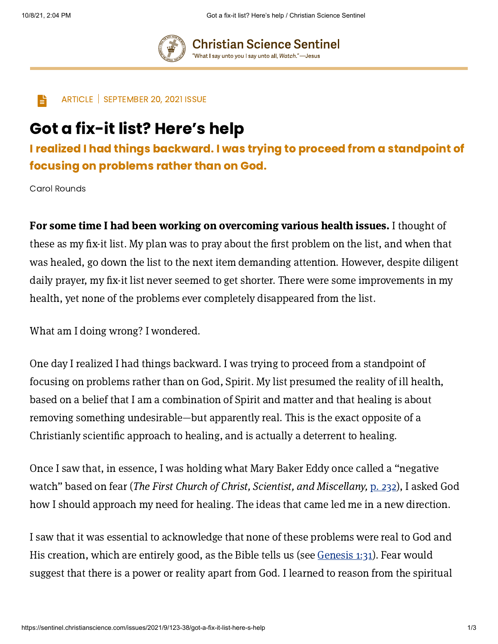**Christian Science Sentinel** "What I say unto you I say unto all, Watch."—Jesus



 $\Box$  ARTICLE | SEPTEMBER 20, 2021 ISSUE

## Got a fix-it list? Here's help

I realized I had things backward. I was trying to proceed from a standpoint of focusing on problems rather than on God.

Carol Rounds

For some time I had been working on overcoming various health issues. I thought of these as my fix-it list. My plan was to pray about the first problem on the list, and when that was healed, go down the list to the next item demanding attention. However, despite diligent daily prayer, my fix-it list never seemed to get shorter. There were some improvements in my health, yet none of the problems ever completely disappeared from the list.

What am I doing wrong? I wondered.

One day I realized I had things backward. I was trying to proceed from a standpoint of focusing on problems rather than on God, Spirit. My list presumed the reality of ill health, based on a belief that I am a combination of Spirit and matter and that healing is about removing something undesirable—but apparently real. This is the exact opposite of a Christianly scientific approach to healing, and is actually a deterrent to healing.

Once I saw that, in essence, I was holding what Mary Baker Eddy once called a "negative watch" based on fear (The First Church of Christ, Scientist, and Miscellany, p. [232](https://login.concord.christianscience.com/concord3/search/?query=My.%20232%3A30%E2%80%932%20Then%20%28to%20%3F%29&book=tfccs.main.pw.my)), I asked God how I should approach my need for healing. The ideas that came led me in a new direction.

I saw that it was essential to acknowledge that none of these problems were real to God and His creation, which are entirely good, as the Bible tells us (see [Genesis](https://login.concord.christianscience.com/concord3/search/?query=Genesis%201%3A31&book=tfccs.main.hb.kj) 1:31). Fear would suggest that there is a power or reality apart from God. I learned to reason from the spiritual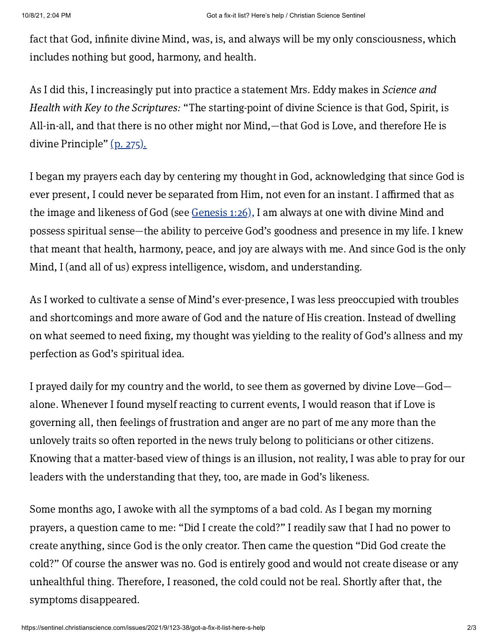fact that God, infinite divine Mind, was, is, and always will be my only consciousness, which includes nothing but good, harmony, and health.

As I did this, I increasingly put into practice a statement Mrs. Eddy makes in Science and Health with Key to the Scriptures: "The starting-point of divine Science is that God, Spirit, is All-in-all, and that there is no other might nor Mind,—that God is Love, and therefore He is divine Principle" (p. [275\).](https://login.concord.christianscience.com/concord3/search/?query=SH%20275%3A6&book=tfccs.main.sh)

I began my prayers each day by centering my thought in God, acknowledging that since God is ever present, I could never be separated from Him, not even for an instant. I affirmed that as the image and likeness of God (see [Genesis](https://login.concord.christianscience.com/concord3/search/?query=Genesis%201%3A26&book=tfccs.main.hb.kj) 1:26), I am always at one with divine Mind and possess spiritual sense—the ability to perceive God's goodness and presence in my life. I knew that meant that health, harmony, peace, and joy are always with me. And since God is the only Mind, I (and all of us) express intelligence, wisdom, and understanding.

As I worked to cultivate a sense of Mind's ever-presence, I was less preoccupied with troubles and shortcomings and more aware of God and the nature of His creation. Instead of dwelling on what seemed to need fixing, my thought was yielding to the reality of God's allness and my perfection as God's spiritual idea.

I prayed daily for my country and the world, to see them as governed by divine Love—God alone. Whenever I found myself reacting to current events, I would reason that if Love is governing all, then feelings of frustration and anger are no part of me any more than the unlovely traits so often reported in the news truly belong to politicians or other citizens. Knowing that a matter-based view of things is an illusion, not reality, I was able to pray for our leaders with the understanding that they, too, are made in God's likeness.

Some months ago, I awoke with all the symptoms of a bad cold. As I began my morning prayers, a question came to me: "Did I create the cold?" I readily saw that I had no power to create anything, since God is the only creator. Then came the question "Did God create the cold?" Of course the answer was no. God is entirely good and would not create disease or any unhealthful thing. Therefore, I reasoned, the cold could not be real. Shortly after that, the symptoms disappeared.